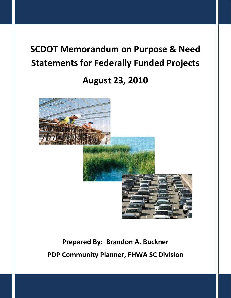# **SCDOT Memorandum on Purpose & Need Statements for Federally Funded Projects**

# **August 23, 2010**



# **Prepared By: Brandon A. Buckner PDP Community Planner, FHWA SC Division**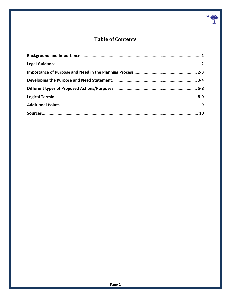## **Table of Contents**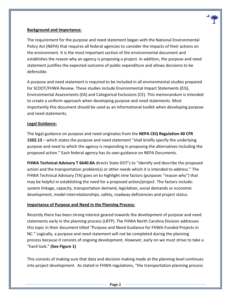

#### **Background and Importance:**

The requirement for the purpose and need statement began with the National Environmental Policy Act (NEPA) that requires all federal agencies to consider the impacts of their actions on the environment. It is the most important section of the environmental document and establishes the reason why an agency is proposing a project. In addition, the purpose and need statement justifies the expected outcome of public expenditure and allows decisions to be defensible.

A purpose and need statement is required to be included in all environmental studies prepared for SCDOT/FHWA Review. These studies include Environmental Impact Statements (EIS), Environmental Assessments (EA) and Categorical Exclusions (CE). This memorandum is intended to create a uniform approach when developing purpose and need statements. Most importantly this document should be used as an informational toolkit when developing purpose and need statements.

#### **Legal Guidance:**

The legal guidance on purpose and need originates from the **NEPA CEQ Regulation 40 CFR 1502.13** – which states the purpose and need statement "shall briefly specify the underlying purpose and need to which the agency is responding in proposing the alternatives including the proposed action." Each federal agency has its own guidance on NEPA Documents.

**FHWA Technical Advisory T 6640.8A** directs State DOT's to "identify and describe the proposed action and the transportation problem(s) or other needs which it is intended to address." The FHWA Technical Advisory (TA) goes on to highlight nine factors (purposes "reason why") that may be helpful in establishing the need for a proposed action/project. The factors include: system linkage, capacity, transportation demand, legislation, social demands or economic development, model interrelationships, safety, roadway deficiencies and project status.

#### **Importance of Purpose and Need in the Planning Process:**

Recently there has been strong interest geared towards the development of purpose and need statements early in the planning process (LRTP). The FHWA North Carolina Division addresses this topic in their document titled "Purpose and Need Guidance for FHWA-Funded Projects in NC." Logically, a purpose and need statement will not be completed during the planning process because it consists of ongoing development. However, early on we must strive to take a "hard look." **(See Figure 1)**

This consists of making sure that data and decision making made at the planning level continues into project development. As stated in FHWA regulations, "the transportation planning process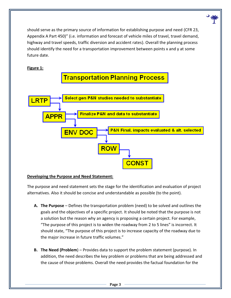

#### **Figure 1:**



#### **Developing the Purpose and Need Statement:**

The purpose and need statement sets the stage for the identification and evaluation of project alternatives. Also it should be concise and understandable as possible (to the point).

- **A. The Purpose** Defines the transportation problem (need) to be solved and outlines the goals and the objectives of a specific project. It should be noted that the purpose is not a solution but the reason why an agency is proposing a certain project. For example, "The purpose of this project is to widen the roadway from 2 to 5 lines" is incorrect. It should state, "The purpose of this project is to increase capacity of the roadway due to the major increase in future traffic volumes."
- **B. The Need (Problem**) Provides data to support the problem statement (purpose). In addition, the need describes the key problem or problems that are being addressed and the cause of those problems. Overall the need provides the factual foundation for the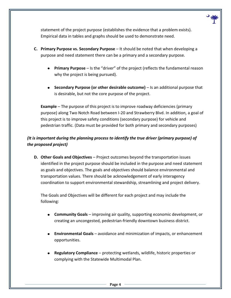

statement of the project purpose (establishes the evidence that a problem exists). Empirical data in tables and graphs should be used to demonstrate need.

- **C. Primary Purpose vs. Secondary Purpose**  It should be noted that when developing a purpose and need statement there can be a primary and a secondary purpose.
	- **Primary Purpose** Is the "driver" of the project (reflects the fundamental reason why the project is being pursued).
	- **Secondary Purpose (or other desirable outcome)**  Is an additional purpose that is desirable, but not the core purpose of the project.

**Example** – The purpose of this project is to improve roadway deficiencies (primary purpose) along Two Notch Road between I-20 and Strawberry Blvd. In addition, a goal of this project is to improve safety conditions (secondary purpose) for vehicle and pedestrian traffic. (Data must be provided for both primary and secondary purposes)

### *(It is important during the planning process to identify the true driver (primary purpose) of the proposed project)*

**D. Other Goals and Objectives** – Project outcomes beyond the transportation issues identified in the project purpose should be included in the purpose and need statement as goals and objectives. The goals and objectives should balance environmental and transportation values. There should be acknowledgement of early interagency coordination to support environmental stewardship, streamlining and project delivery.

The Goals and Objectives will be different for each project and may include the following:

- **Community Goals** improving air quality, supporting economic development, or creating an uncongested, pedestrian-friendly downtown business district.
- **Environmental Goals** avoidance and minimization of impacts, or enhancement opportunities.
- **Regulatory Compliance** protecting wetlands, wildlife, historic properties or complying with the Statewide Multimodal Plan.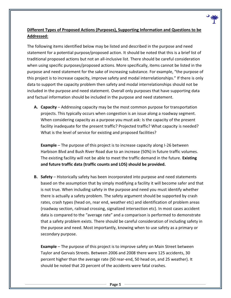### **Different Types of Proposed Actions (Purposes), Supporting Information and Questions to be Addressed:**

The following items identified below may be listed and described in the purpose and need statement for a potential purpose/proposed action. It should be noted that this is a brief list of traditional proposed actions but not an all-inclusive list. There should be careful consideration when using specific purposes/proposed actions. More specifically, items cannot be listed in the purpose and need statement for the sake of increasing substance. For example, "the purpose of this project is to increase capacity, improve safety and modal interrelationships." If there is only data to support the capacity problem then safety and modal interrelationships should not be included in the purpose and need statement. Overall only purposes that have supporting data and factual information should be included in the purpose and need statement.

**A. Capacity** – Addressing capacity may be the most common purpose for transportation projects. This typically occurs when congestion is an issue along a roadway segment. When considering capacity as a purpose you must ask: Is the capacity of the present facility inadequate for the present traffic? Projected traffic? What capacity is needed? What is the level of service for existing and proposed facilities?

**Example** – The purpose of this project is to increase capacity along I-26 between Harbison Blvd and Bush River Road due to an increase (50%) in future traffic volumes. The existing facility will not be able to meet the traffic demand in the future. **Existing and future traffic data (traffic counts and LOS) should be provided.** 

**B. Safety** – Historically safety has been incorporated into purpose and need statements based on the assumption that by simply modifying a facility it will become safer and that is not true. When including safety in the purpose and need you must identify whether there is actually a safety problem. The safety argument should be supported by crash rates, crash types (head on, rear end, weather etc) and identification of problem areas (roadway section, railroad crossing, signalized intersection etc). In most cases accident data is compared to the "average rate" and a comparison is performed to demonstrate that a safety problem exists. There should be careful consideration of including safety in the purpose and need. Most importantly, knowing when to use safety as a primary or secondary purpose.

**Example** – The purpose of this project is to improve safety on Main Street between Taylor and Gervais Streets. Between 2006 and 2008 there were 125 accidents, 30 percent higher than the average rate (50 rear-end, 50 head on, and 25 weather). It should be noted that 20 percent of the accidents were fatal crashes.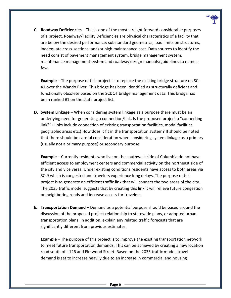

**C. Roadway Deficiencies** – This is one of the most straight forward considerable purposes of a project. Roadway/Facility Deficiencies are physical characteristics of a facility that are below the desired performance: substandard geometrics, load limits on structures, inadequate cross-sections; and/or high maintenance cost. Data sources to identify the need consist of pavement management system, bridge management system, maintenance management system and roadway design manuals/guidelines to name a few.

**Example** – The purpose of this project is to replace the existing bridge structure on SC-41 over the Wando River. This bridge has been identified as structurally deficient and functionally obsolete based on the SCDOT bridge management data. This bridge has been ranked #1 on the state project list.

**D. System Linkage** – When considering system linkage as a purpose there must be an underlying need for generating a connection/link. Is the proposed project a "connecting link?" (Links include connection of existing transportation facilities, modal facilities, geographic areas etc.) How does it fit in the transportation system? It should be noted that there should be careful consideration when considering system linkage as a primary (usually not a primary purpose) or secondary purpose.

**Example** – Currently residents who live on the southwest side of Columbia do not have efficient access to employment centers and commercial activity on the northeast side of the city and vice versa. Under existing conditions residents have access to both areas via SC-9 which is congested and travelers experience long delays. The purpose of this project is to generate an efficient traffic link that will connect the two areas of the city. The 2035 traffic model suggests that by creating this link it will relieve future congestion on neighboring roads and increase access for travelers.

**E. Transportation Demand** – Demand as a potential purpose should be based around the discussion of the proposed project relationship to statewide plans, or adopted urban transportation plans. In addition, explain any related traffic forecasts that are significantly different from previous estimates.

**Example** – The purpose of this project is to improve the existing transportation network to meet future transportation demands. This can be achieved by creating a new location road south of I-126 and Elmwood Street. Based on the 2035 traffic model, travel demand is set to increase heavily due to an increase in commercial and housing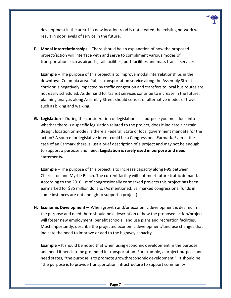

development in the area. If a new location road is not created the existing network will result in poor levels of service in the future.

**F.** Modal Interrelationships – There should be an explanation of how the proposed project/action will interface with and serve to compliment various modes of transportation such as airports, rail facilities, port facilities and mass transit services.

**Example** – The purpose of this project is to improve modal interrelationships in the downtown Columbia area. Public transportation service along the Assembly Street corridor is negatively impacted by traffic congestion and transfers to local bus routes are not easily scheduled. As demand for transit services continue to increase in the future, planning analysis along Assembly Street should consist of alternative modes of travel such as biking and walking.

**G. Legislation** – During the consideration of legislation as a purpose you must look into whether there is a specific legislation related to the project, does it indicate a certain design, location or mode? Is there a Federal, State or local government mandate for the action? A source for legislative intent could be a Congressional Earmark. Even in the case of an Earmark there is just a brief description of a project and may not be enough to support a purpose and need. **Legislation is rarely used in purpose and need statements.** 

**Example** – The purpose of this project is to increase capacity along I-95 between Charleston and Myrtle Beach. The current facility will not meet future traffic demand. According to the 2010 list of congressionally earmarked projects this project has been earmarked for \$35 million dollars. (As mentioned, Earmarked congressional funds in some instances are not enough to support a project)

**H. Economic Development** – When growth and/or economic development is desired in the purpose and need there should be a description of how the proposed action/project will foster new employment, benefit schools, land use plans and recreation facilities. Most importantly, describe the projected economic development/land use changes that indicate the need to improve or add to the highway capacity.

**Example** – It should be noted that when using economic development in the purpose and need it needs to be grounded in transportation. For example, a project purpose and need states, "the purpose is to promote growth/economic development." It should be "the purpose is to provide transportation infrastructure to support community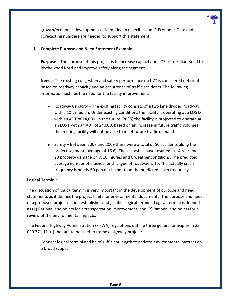

growth/economic development as identified in (specific plan)." Economic Data and Forecasting numbers are needed to support this statement.

#### **I. Complete Purpose and Need Statement Example**

**Purpose** – The purpose of this project is to increase capacity on I-77 from Killian Road to Blythewood Road and improve safety along the segment.

**Need** – The existing congestion and safety performance on I-77 is considered deficient based on roadway capacity and an occurrence of traffic accidents. The following information justifies the need for the facility improvement:

- Roadway Capacity The existing facility consists of a two lane divided roadway  $\bullet$ with a 10ft median. Under existing conditions the facility is operating at a LOS D with an ADT of 14,000. In the future (2035) the facility is projected to operate at an LOS F with an ADT of 24,000. Based on an increase in future traffic volumes the existing facility will not be able to meet future traffic demand.
- Safety Between 2007 and 2009 there were a total of 50 accidents along the project segment (average of 16.6). These crashes have resulted in 14 rear-ends, 20 property damage only, 10 injuries and 6 weather conditions. The predicted average number of crashes for this type of roadway is 10. The actually crash frequency is nearly 60 percent higher than the predicted crash frequency.

#### **Logical Termini:**

The discussion of logical termini is very important in the development of purpose and need statements as it defines the project limits for environmental documents. The purpose and need of a proposed project/action establishes and justifies logical termini. Logical termini is defined as (1) Rational end points for a transportation improvement, and (2) Rational end points for a review of the environmental impacts.

The Federal Highway Administration (FHWA) regulations outline three general principles in 23 CFR 771.111(f) that are to be used to frame a highway project:

1. Connect logical termini and be of sufficient length to address environmental matters on a broad scope;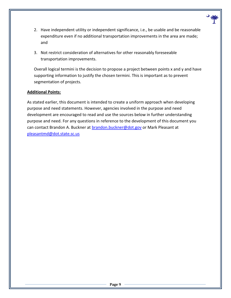- 2. Have independent utility or independent significance, i.e., be usable and be reasonable expenditure even if no additional transportation improvements in the area are made; and
- 3. Not restrict consideration of alternatives for other reasonably foreseeable transportation improvements.

Overall logical termini is the decision to propose a project between points x and y and have supporting information to justify the chosen termini. This is important as to prevent segmentation of projects.

#### **Additional Points:**

As stated earlier, this document is intended to create a uniform approach when developing purpose and need statements. However, agencies involved in the purpose and need development are encouraged to read and use the sources below in further understanding purpose and need. For any questions in reference to the development of this document you can contact Brandon A. Buckner at brandon.buckner@dot.gov or Mark Pleasant at pleasantmd@dot.state.sc.us